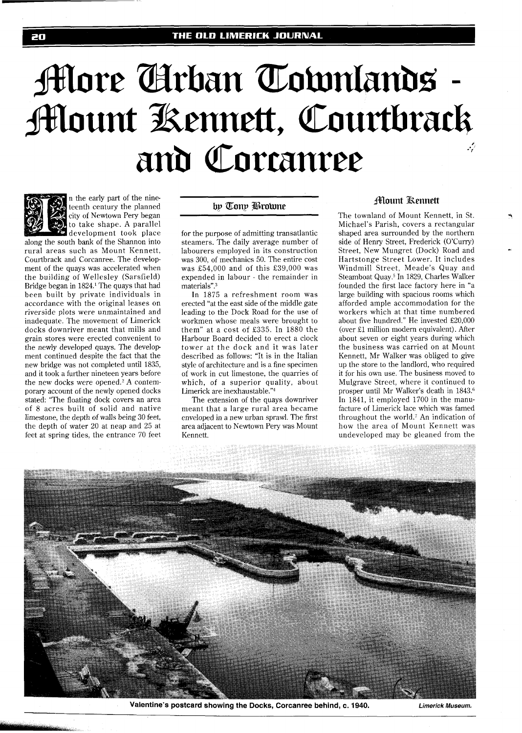# **More Arban Townlands -Mount Kennett, Courtbrack** and Corranree



20

n the early part of the nineteenth century the planned city of Newtown Pery began to take shape. A parallel development took place

along the south bank of the Shannon into rural areas such as Mount Kennett, Courtbrack and Corcanree. The development of the quays was accelerated when the building of Wellesley (Sarsfield) Bridge began in 1824.' The quays that had been built by private individuals in accordance with the original leases on riverside plots were unmaintained and inadequate. The movement of Limerick docks downriver meant that mills and grain stores were erected convenient to the newly developed quays. The develop ment continued despite the fact that the new bridge was not completed until 1835, and it took a further nineteen years before the new docks were opened.<sup>2</sup> A contemporary account of the newly opened docks stated: "The floating dock covers an area of 8 acres built of solid and native limestone, the depth of walls being 30 feet, the depth of water 20 at neap and 25 at feet at spring tides, the entrance 70 feet

# by Tony Browne

for the purpose of admitting transatlantic steamers. The daily average number of labourers employed in its construction was 300, of mechanics 50. The entire cost was £54,000 and of this £39,000 was expended in labour - the remainder in materials".<sup>3</sup>

In 1875 a refreshment room was erected "at the east side of the middle gate leading to the Dock Road for the use of workmen whose meals were brought to them" at a cost of £335. In 1880 the Harbour Board decided to erect a clock tower at the dock and it was later described as follows: "It is in the Italian style of architecture and is a fine specimen of work in cut limestone, the quarries of which, of a superior quality, about Limerick are inexhaustable."4

The extension of the quays downriver meant that a large rural area became enveloped in a new urban sprawl. The first area adjacent to Newtown Pery was Mount Kennett.

## **Alount Kennett**

The townland of Mount Kennett, in St. Michael's Parish, covers a rectangular shaped area surrounded by the northern side of Henry Street, Frederick (O'Curry) Street, New Mungret (Dock) Road and Hartstonge Street Lower. It includes Windmill Street, Meade's Quay and Steamboat Quay.5 In 1829, Charles Walker founded the first lace factory here in "a large building with spacious rooms which afforded ample accommodation for the workers which at that time numbered about five hundred." He invested £20,000 (over El million modern equivalent). After about seven or eight years during which the business was carried on at Mount Kennett, Mr Walker was obliged to give up the store to the landlord, who required it for his own use. The business moved to Mulgrave Street, where it continued to prosper until Mr Walker's death in 1843.<sup>6</sup> In 1841, it employed 1700 in the manufacture of Limerick lace which was famed throughout the world.7 An indication of how the area of Mount Kennett was undeveloped may be gleaned from the



**Valentine's postcard showing the Docks, Corcanree behind, c. 1940. Limerick Museum.**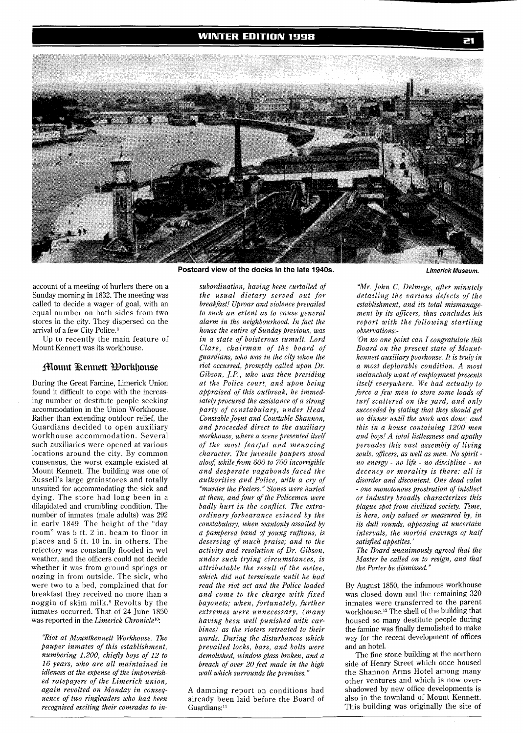

account of a meeting of hurlers there on a Sunday morning in 1832. The meeting was called to decide a wager of goal, with an equal number on both sides from two stores in the city. They dispersed on the arrival of a few City Police.<sup>8</sup>

Up to recently the main feature of Mount Kennett was its workhouse.

### **Mount Kennett Porkhouse**

During the Great Famine, Limerick Union found it difficult to cope with the increasing number of destitute people seeking accommodation in the Union Workhouse. Rather than extending outdoor relief, the Guardians decided to open auxiliary workhouse accommodation. Several such auxiliaries were opened at various locations around the city. By common consensus, the worst example existed at Mount Kennett. The building was one of Russell's large grainstores and totally unsuited for accommodating the sick and dying. The store had long been in a dilapidated and crumbling condition. The number of inmates (male adults) was 292 in early 1849. The height of the "day room" was 5 ft. 2 in. beam to floor in places and 5 ft. 10 in. in others. The refectory was constantly flooded in wet weather, and the officers could not decide whether it was from ground springs or oozing in from outside. The sick, who were two to a bed, complained that for breakfast they received no more than a noggin of skim milk.<sup>9</sup> Revolts by the inmates occurred. That of 24 June 1850 was reported in the *Limerick Chroniclelo:* 

*"Riot at Mountkennett Workhouse. The Pauper inmates of this establishment, numbering 1,200, chiefly boys of 12 to 16 years, who are all maintained in idleness at the expense of the impoverished ratepayers of the Limerick union, again revolted on Monday in consequence of two ringleaders who had been recognised exciting their comrades to in-*

*subordination, having been curtailed of the usual dietary served out for breakfast! Uproar and violence prevailed to such an extent as to cause general alarm in the neighbourhood. In fact the house the entire of Sunday previous, was in a state of boisterous tumult. Lord Clare, chairman of the board of guardians, who was in the city when the riot occurred, promptly called upon Dr. Gibson, J.P., who was then presiding at the Police court, and upon being appraised of this outbreak, he immediately procured the assistance of a strong party of constabulary, under Head Constable Joynt and Constable Shannon, and proceeded direct to the auxiliary workhouse, where a scene presented itself of the most fearful and menacing character. The juvenile paupers stood alooA while from 600 to 700 incorrigible and desperate vagabonds faced the authorities and Police, with a cry of "murder the Peelers." Stones were hurled at them, and four of the Policemen were badly hurt in the conflict. The extraordinary forbearance evinced by the*   $constant$  *when wantonly assailed by a pampered band of young ruffians, is deserving of much praise; and to the activity and resolution of Dr. Gibson, under such trying circumstances, is attributable the result of the melee, which did not terminate until he had read the riot act and the Police loaded and come to the charge with fixed bayonets; when, fortunately, further extremes were unnecessary, (many having been well punished with carbines) as the rioters retreated to their wards. During the disturbances which prevailed locks, bars, and bolts were demolished, window glass broken, and a breach of over 20 feet made in the high wall which surrounds the premises."* 

A damning report on conditions had already been laid before the Board of Guardians:<sup>11</sup>

*"Mr. John C. Delmege, after minutely detailing the various defects of the establishment, and its total mismanagement by its oficers, thus concludes his report with the following startling observations:-* 

*'On no one point can I congratulate this Board on the present state of Mountkennett auxiliary poorhouse. It is truly in a most deplorable condition. A most melancholy want of employment presents itself everywhere. We had actually to force a few men to store some loads of turf scattered on the yard, and only succeeded by stating that they should get no dinner until the work was done; and this in a house containing 1200 men and boys! A total listlessness and apathy pervades this vast assembly of living souls, oficers, as well as men. No spirit no energy* - *no life* - *no discipline* - *no decency or morality is there: all is disorder and discontent. One dead calm*  - *one monotonous prostration of intellect or industry broadly characterizes this plague spot from civilized society. Time, is here, only valued or measured by, in its dull rounds, appeasing at uncertain intervals, the morbid cravings of half satisfied appetites.'* 

*The Board unanimously agreed that the Master be called on to resign, and that the Porter be dismissed."* 

By August 1850, the infamous workhouse was closed down and the remaining 320 inmates were transferred to the parent workhouse.'2 The shell of the building that housed so many destitute people during the famine was finally demolished to make way for the recent development of offices and an hotel.

The fine stone building at the northern side of Henry Street which once housed the Shannon Arms Hotel among many other ventures and which is now overshadowed by new office developments is also in the townland of Mount Kennett. This building was originally the site of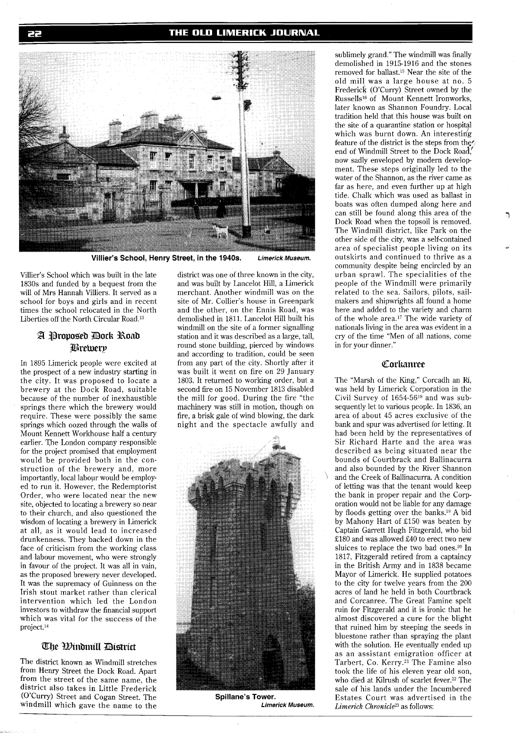

**Villier's School, Henry Street, in the 1940s. Limerick Museum.** 

Villier's School which was built in the late 1830s and funded by a bequest from the will of Mrs Hannah Villiers. It served as a school for boys and girls and in recent times the school relocated in the North Liberties off the North Circular Road.13

# A Proposed Dock Road **Brewerp**

In 1895 Limerick people were excited at the prospect of a new industry starting in the city. It was proposed to locate a brewery at the Dock Road, suitable because of the number of inexhaustible springs there which the brewery would require. These were possibly the same springs which oozed through the walls of Mount Kennett Workhouse half a century earlier. The London company responsible for the project promised that employment would be provided both in the construction of the brewery and, more importantly, local labour would be employed to run it. However, the Redemptorist Order, who were located near the new site, objected to locating a brewery so near to their church, and also questioned the wisdom of locating a brewery in Limerick at all, as it would lead to increased drunkenness. They backed down in the face of criticism from the working class and labour movement, who were strongly in favour of the project. It was all in vain, as the proposed brewery never developed. It was the supremacy of Guinness on the Irish stout market rather than clerical intervention which led the London investors to withdraw the financial support which was vital for the success of the project.14

## The *W*indmill District

The district known as Windmill stretches from Henry Street the Dock Road. Apart from the street of the same name, the district also takes in Little Frederick @'Curry) Street and Cogan Street. The windmill which gave the name to the district was one of three known in the city, and was built by Lancelot Hill, a Limerick merchant. Another windmill was on the site of Mr. Collier's house in Greenpark and the other, on the Ennis Road, was demolished in 1811. Lancelot Hill built his windmill on the site of a former signalling station and it was described as a large, tall, round stone building, pierced by windows and according to tradition, could be seen from any part of the city. Shortly after it was built it went on fire on 29 January 1803. It returned to working order, but a second fire on 15 November 1813 disabled the mill for good. During the fire "the machinery was still in motion, though on fire, a brisk gale of wind blowing, the dark night and the spectacle awfully and



**Spillane's Tower. Limerick Museum.** 

sublimely grand." The windmill was finally demolished in 1915-1916 and the stones removed for ballast.15 Near the site of the old mill was a large house at no. 5 Frederick (O'Curry) Street owned by the Russells<sup>16</sup> of Mount Kennett Ironworks, later known as Shannon Foundry. Local tradition held that this house was built on the site of a quarantine station or hospital which was burnt down. An interesting feature of the district is the steps from the  $\ell$ end of Windmill Street to the Dock Road, now sadly enveloped by modern development. These steps originally led to the water of the Shannon, as the river came as far as here, and even further up at high tide. Chalk which was used as ballast in boats was often dumped along here and can still be found along this area of the Dock Road when the topsoil is removed. The Windmill district. like Park on the other side of the city, was a self-contained area of specialist people living on its outskirts and continued to thrive as a community despite being encircled by an urban sprawl. The specialities of the people of the Windmill were primarily related to the sea. Sailors, pilots, sailmakers and shipwrights all found a home here and added to the variety and charm of the whole area.17 The wide variety of nationals living in the area was evident in a cry of the time "Men of all nations, come in for your dinner."

#### Corkanree

The "Marsh of the King," Corcadh an Ri, was held by Limerick Corporation in the Civil Survey of 1654-5618 and was subsequently let to various people. In 1836, an area of about 45 acres exclusive of the bank and spur was advertised for letting. It had been held by the representatives of Sir Richard Harte and the area was described as being situated near the bounds of Courtbrack and Ballinacurra and also bounded by the River Shannon and the Creek of Ballinacurra. A condition of letting was that the tenant would keep the bank in proper repair and the Corporation would not be liable for any damage by floods getting over the banks.19 A bid by Mahony Hart of £150 was beaten by Captain Garrett Hugh Fitzgerald, who bid £180 and was allowed £40 to erect two new sluices to replace the two bad ones.<sup>20</sup> In 1817, Fitzgerald retired from a captaincy in the British Army and in 1838 became Mayor of Limerick. He supplied potatoes to the city for twelve years from the 200 acres of land he held in both Courtbrack and Corcanree. The Great Famine spelt ruin for Fitzgerald and it is ironic that he almost discovered a cure for the blight that ruined him by steeping the seeds in bluestone rather than spraying the plant with the solution. He eventually ended up as an assistant emigration officer at Tarbert, Co. Kerry.21 The Famine also took the life of his eleven year old son, who died at Kilrush of scarlet fever.22 The sale of his lands under the Incumbered Estates Court was advertised in the Limerick Chronicle<sup>23</sup> as follows: